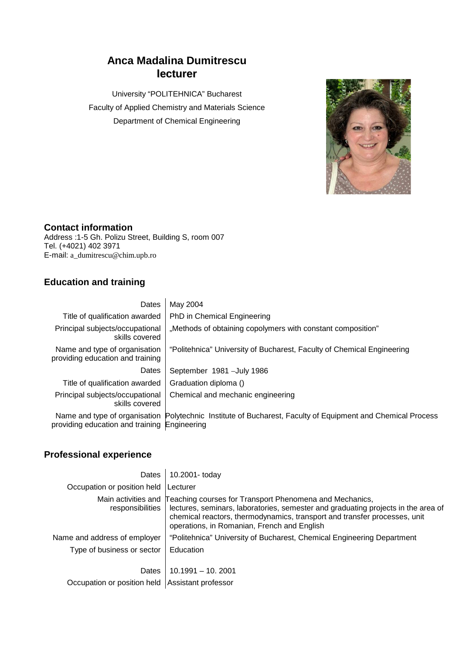# **Anca Madalina Dumitrescu lecturer**

University "POLITEHNICA" Bucharest Faculty of Applied Chemistry and Materials Science Department of Chemical Engineering



#### **Contact information**

Address :1-5 Gh. Polizu Street, Building S, room 007 Tel. (+4021) 402 3971 E-mail: a\_dumitrescu@chim.upb.ro

## **Education and training**

| Dates                                                             | May 2004                                                                                                    |
|-------------------------------------------------------------------|-------------------------------------------------------------------------------------------------------------|
| Title of qualification awarded                                    | PhD in Chemical Engineering                                                                                 |
| Principal subjects/occupational<br>skills covered                 | "Methods of obtaining copolymers with constant composition"                                                 |
| Name and type of organisation<br>providing education and training | "Politehnica" University of Bucharest, Faculty of Chemical Engineering                                      |
| Dates                                                             | September 1981 - July 1986                                                                                  |
| Title of qualification awarded                                    | Graduation diploma ()                                                                                       |
| Principal subjects/occupational<br>skills covered                 | Chemical and mechanic engineering                                                                           |
| providing education and training Engineering                      | Name and type of organisation Polytechnic Institute of Bucharest, Faculty of Equipment and Chemical Process |

### **Professional experience**

| <b>Dates</b>                 | 10.2001- today                                                                                                                                                                                                                                                                               |
|------------------------------|----------------------------------------------------------------------------------------------------------------------------------------------------------------------------------------------------------------------------------------------------------------------------------------------|
| Occupation or position held  | Lecturer                                                                                                                                                                                                                                                                                     |
| responsibilities             | Main activities and Teaching courses for Transport Phenomena and Mechanics,<br>lectures, seminars, laboratories, semester and graduating projects in the area of<br>chemical reactors, thermodynamics, transport and transfer processes, unit<br>operations, in Romanian, French and English |
| Name and address of employer | "Politehnica" University of Bucharest, Chemical Engineering Department                                                                                                                                                                                                                       |
| Type of business or sector   | Education                                                                                                                                                                                                                                                                                    |
| Dates                        | $10.1991 - 10.2001$                                                                                                                                                                                                                                                                          |
| Occupation or position held  | Assistant professor                                                                                                                                                                                                                                                                          |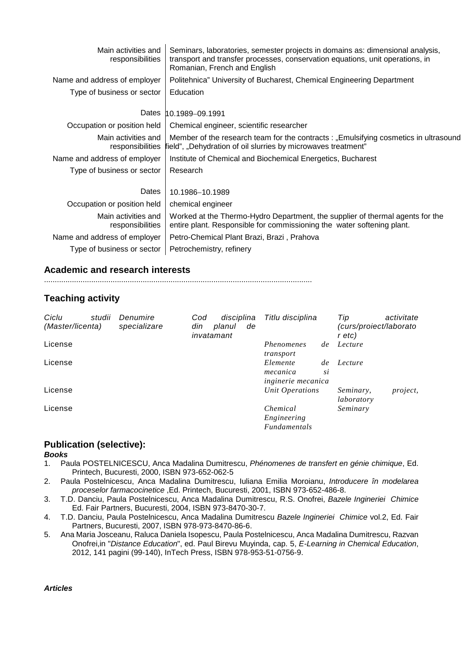| Main activities and<br>responsibilities | Seminars, laboratories, semester projects in domains as: dimensional analysis,<br>transport and transfer processes, conservation equations, unit operations, in<br>Romanian, French and English |
|-----------------------------------------|-------------------------------------------------------------------------------------------------------------------------------------------------------------------------------------------------|
| Name and address of employer            | Politehnica" University of Bucharest, Chemical Engineering Department                                                                                                                           |
| Type of business or sector              | Education                                                                                                                                                                                       |
| Dates                                   | 10.1989-09.1991                                                                                                                                                                                 |
| Occupation or position held             | Chemical engineer, scientific researcher                                                                                                                                                        |
| Main activities and<br>responsibilities | Member of the research team for the contracts : "Emulsifying cosmetics in ultrasound<br>field", "Dehydration of oil slurries by microwaves treatment"                                           |
| Name and address of employer            | Institute of Chemical and Biochemical Energetics, Bucharest                                                                                                                                     |
| Type of business or sector              | Research                                                                                                                                                                                        |
| Dates                                   | 10.1986-10.1989                                                                                                                                                                                 |
| Occupation or position held             | chemical engineer                                                                                                                                                                               |
| Main activities and<br>responsibilities | Worked at the Thermo-Hydro Department, the supplier of thermal agents for the<br>entire plant. Responsible for commissioning the water softening plant.                                         |
| Name and address of employer            | Petro-Chemical Plant Brazi, Brazi, Prahova                                                                                                                                                      |
| Type of business or sector              | Petrochemistry, refinery                                                                                                                                                                        |

#### **Academic and research interests**

.............................................................................................................................

#### **Teaching activity**

| Ciclu<br>(Master/licenta) | studii | Denumire<br>specializare | Cod<br>din | disciplina<br>planul<br>invatamant | de | Titlu disciplina                                  |          | Tip<br>curs/proiect/laborato)<br>r etc) | activitate |
|---------------------------|--------|--------------------------|------------|------------------------------------|----|---------------------------------------------------|----------|-----------------------------------------|------------|
| License                   |        |                          |            |                                    |    | Phenomenes<br>transport                           | de       | Lecture                                 |            |
| License                   |        |                          |            |                                    |    | Elemente<br>mecanica<br><i>inginerie mecanica</i> | de<br>si | Lecture                                 |            |
| License                   |        |                          |            |                                    |    | Unit Operations                                   |          | Seminary,<br>laboratory                 | project,   |
| License                   |        |                          |            |                                    |    | Chemical<br>Engineering<br><b>Fundamentals</b>    |          | Seminary                                |            |

#### **Publication (selective):**

# *Books*

- 1. Paula POSTELNICESCU, Anca Madalina Dumitrescu, *Phénomenes de transfert en génie chimique*, Ed. Printech, Bucuresti, 2000, ISBN 973-652-062-5
- 2. Paula Postelnicescu, Anca Madalina Dumitrescu, Iuliana Emilia Moroianu, *Introducere în modelarea proceselor farmacocinetice* ,Ed. Printech, Bucuresti, 2001, ISBN 973-652-486-8.
- 3. T.D. Danciu, Paula Postelnicescu, Anca Madalina Dumitrescu, R.S. Onofrei, *Bazele Ingineriei Chimice* Ed. Fair Partners, Bucuresti, 2004, ISBN 973-8470-30-7.
- 4. T.D. Danciu, Paula Postelnicescu, Anca Madalina Dumitrescu *Bazele Ingineriei Chimice* vol.2, Ed. Fair Partners, Bucuresti, 2007, ISBN 978-973-8470-86-6.
- 5. Ana Maria Josceanu, Raluca Daniela Isopescu, Paula Postelnicescu, Anca Madalina Dumitrescu, Razvan Onofrei,in "*Distance Education*", ed. Paul Birevu Muyinda, cap. 5, *E-Learning in Chemical Education*, 2012, 141 pagini (99-140), InTech Press, ISBN 978-953-51-0756-9.

*Articles*